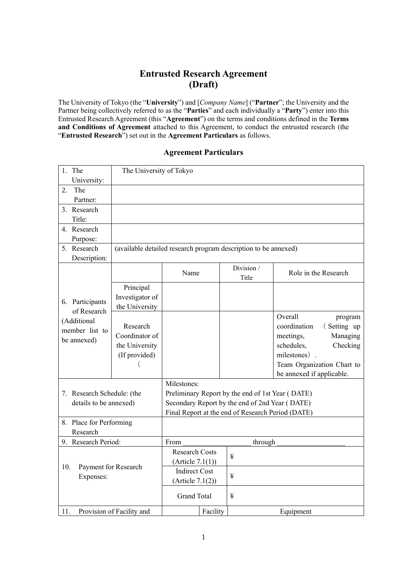# **Entrusted Research Agreement (Draft)**

The University of Tokyo (the "**University**") and [*Company Name*] ("**Partner**"; the University and the Partner being collectively referred to as the "**Parties**" and each individually a "**Party**") enter into this Entrusted Research Agreement (this "**Agreement**") on the terms and conditions defined in the **Terms and Conditions of Agreement** attached to this Agreement, to conduct the entrusted research (the "**Entrusted Research**") set out in the **Agreement Particulars** as follows.

# **Agreement Particulars**

| 1. The                           | The University of Tokyo                                         |                                                   |                     |                             |  |  |
|----------------------------------|-----------------------------------------------------------------|---------------------------------------------------|---------------------|-----------------------------|--|--|
| University:                      |                                                                 |                                                   |                     |                             |  |  |
| The<br>2.                        |                                                                 |                                                   |                     |                             |  |  |
| Partner:                         |                                                                 |                                                   |                     |                             |  |  |
| 3. Research                      |                                                                 |                                                   |                     |                             |  |  |
| Title:                           |                                                                 |                                                   |                     |                             |  |  |
| 4. Research                      |                                                                 |                                                   |                     |                             |  |  |
| Purpose:                         |                                                                 |                                                   |                     |                             |  |  |
| 5. Research                      | (available detailed research program description to be annexed) |                                                   |                     |                             |  |  |
| Description:                     |                                                                 |                                                   |                     |                             |  |  |
|                                  |                                                                 | Name                                              | Division /<br>Title | Role in the Research        |  |  |
|                                  | Principal                                                       |                                                   |                     |                             |  |  |
| 6. Participants                  | Investigator of                                                 |                                                   |                     |                             |  |  |
| of Research                      | the University                                                  |                                                   |                     |                             |  |  |
| (Additional                      |                                                                 |                                                   |                     | Overall<br>program          |  |  |
| member list to                   | Research                                                        |                                                   |                     | coordination<br>(Setting up |  |  |
| be annexed)                      | Coordinator of                                                  |                                                   |                     | meetings,<br>Managing       |  |  |
|                                  | the University                                                  |                                                   |                     | schedules,<br>Checking      |  |  |
|                                  | (If provided)                                                   |                                                   |                     | milestones)                 |  |  |
|                                  |                                                                 |                                                   |                     | Team Organization Chart to  |  |  |
|                                  |                                                                 |                                                   |                     | be annexed if applicable.   |  |  |
|                                  |                                                                 | Milestones:                                       |                     |                             |  |  |
| 7. Research Schedule: (the       |                                                                 | Preliminary Report by the end of 1st Year (DATE)  |                     |                             |  |  |
| details to be annexed)           |                                                                 | Secondary Report by the end of 2nd Year (DATE)    |                     |                             |  |  |
|                                  |                                                                 | Final Report at the end of Research Period (DATE) |                     |                             |  |  |
| 8. Place for Performing          |                                                                 |                                                   |                     |                             |  |  |
| Research                         |                                                                 |                                                   |                     |                             |  |  |
| 9. Research Period:              |                                                                 | From<br>through                                   |                     |                             |  |  |
| 10.<br>Payment for Research      |                                                                 | <b>Research Costs</b>                             | ¥                   |                             |  |  |
|                                  |                                                                 | (Article 7.1(1))<br><b>Indirect Cost</b>          |                     |                             |  |  |
| Expenses:                        |                                                                 |                                                   | ¥                   |                             |  |  |
|                                  |                                                                 | (Article 7.1(2))                                  |                     |                             |  |  |
|                                  |                                                                 | <b>Grand Total</b>                                | ¥                   |                             |  |  |
| Provision of Facility and<br>11. |                                                                 | Facility                                          |                     | Equipment                   |  |  |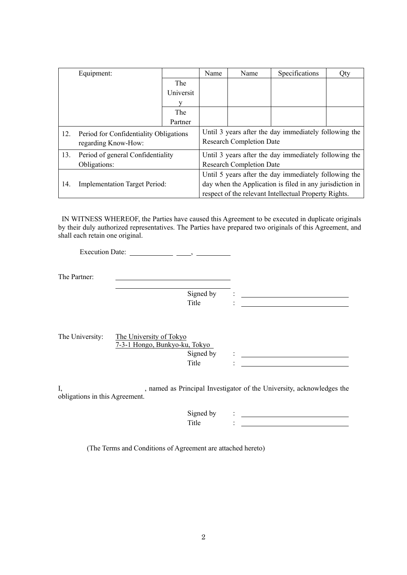|                                               | Equipment:                        |                                                          | Name                                                  | Name | Specifications | Qty |
|-----------------------------------------------|-----------------------------------|----------------------------------------------------------|-------------------------------------------------------|------|----------------|-----|
|                                               |                                   | The                                                      |                                                       |      |                |     |
|                                               |                                   | Universit                                                |                                                       |      |                |     |
|                                               |                                   | v                                                        |                                                       |      |                |     |
|                                               |                                   | The                                                      |                                                       |      |                |     |
|                                               |                                   | Partner                                                  |                                                       |      |                |     |
| 12.<br>Period for Confidentiality Obligations |                                   | Until 3 years after the day immediately following the    |                                                       |      |                |     |
| regarding Know-How:                           |                                   | <b>Research Completion Date</b>                          |                                                       |      |                |     |
| 13.                                           | Period of general Confidentiality |                                                          | Until 3 years after the day immediately following the |      |                |     |
|                                               | Obligations:                      |                                                          | <b>Research Completion Date</b>                       |      |                |     |
| 14.<br><b>Implementation Target Period:</b>   |                                   | Until 5 years after the day immediately following the    |                                                       |      |                |     |
|                                               |                                   | day when the Application is filed in any jurisdiction in |                                                       |      |                |     |
|                                               |                                   |                                                          | respect of the relevant Intellectual Property Rights. |      |                |     |

IN WITNESS WHEREOF, the Parties have caused this Agreement to be executed in duplicate originals by their duly authorized representatives. The Parties have prepared two originals of this Agreement, and shall each retain one original.

Execution Date:  $\_\_\_\_\_\_\_\_\_\_\_\_\_\_\_\_\_\_\_\_$ 

The Partner:

Signed by : \_\_\_\_\_\_ Title : <u>Title</u>

| The University: | The University of Tokyo       |  |
|-----------------|-------------------------------|--|
|                 | 7-3-1 Hongo, Bunkyo-ku, Tokyo |  |
|                 | Signed by                     |  |
|                 | Title                         |  |

I, hamed as Principal Investigator of the University, acknowledges the obligations in this Agreement.

| ്വന്നല<br>hv:<br>ຼ |  |
|--------------------|--|
| -----              |  |

(The Terms and Conditions of Agreement are attached hereto)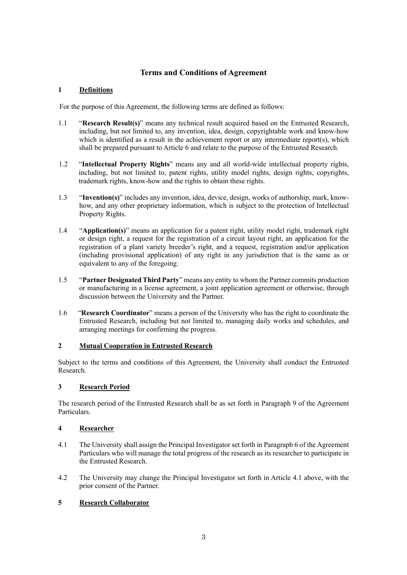# **Terms and Conditions of Agreement**

# **1 Definitions**

For the purpose of this Agreement, the following terms are defined as follows:

- 1.1 "**Research Result(s)**" means any technical result acquired based on the Entrusted Research, including, but not limited to, any invention, idea, design, copyrightable work and know-how which is identified as a result in the achievement report or any intermediate report(s), which shall be prepared pursuant to Article 6 and relate to the purpose of the Entrusted Research.
- 1.2 "**Intellectual Property Rights**" means any and all world-wide intellectual property rights, including, but not limited to, patent rights, utility model rights, design rights, copyrights, trademark rights, know-how and the rights to obtain these rights.
- 1.3 "**Invention(s)**" includes any invention, idea, device, design, works of authorship, mark, knowhow, and any other proprietary information, which is subject to the protection of Intellectual Property Rights.
- 1.4 "**Application(s)**" means an application for a patent right, utility model right, trademark right or design right, a request for the registration of a circuit layout right, an application for the registration of a plant variety breeder's right, and a request, registration and/or application (including provisional application) of any right in any jurisdiction that is the same as or equivalent to any of the foregoing.
- 1.5 "**Partner Designated Third Party**" means any entity to whom the Partner commits production or manufacturing in a license agreement, a joint application agreement or otherwise, through discussion between the University and the Partner.
- 1.6 "**Research Coordinator**" means a person of the University who has the right to coordinate the Entrusted Research, including but not limited to, managing daily works and schedules, and arranging meetings for confirming the progress.

# **2 Mutual Cooperation in Entrusted Research**

Subject to the terms and conditions of this Agreement, the University shall conduct the Entrusted Research.

# **3 Research Period**

The research period of the Entrusted Research shall be as set forth in Paragraph 9 of the Agreement Particulars.

# **4 Researcher**

- 4.1 The University shall assign the Principal Investigator set forth in Paragraph 6 of the Agreement Particulars who will manage the total progress of the research as its researcher to participate in the Entrusted Research.
- 4.2 The University may change the Principal Investigator set forth in Article 4.1 above, with the prior consent of the Partner.

# **5 Research Collaborator**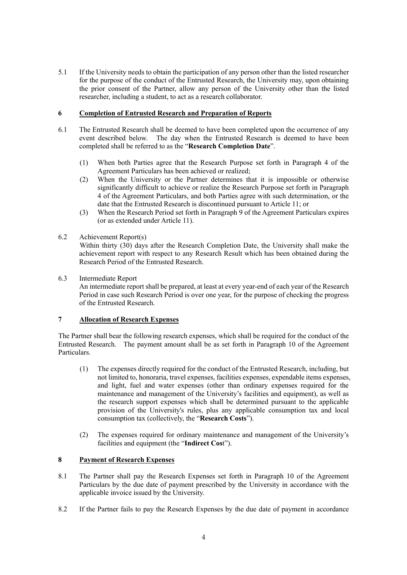5.1 If the University needs to obtain the participation of any person other than the listed researcher for the purpose of the conduct of the Entrusted Research, the University may, upon obtaining the prior consent of the Partner, allow any person of the University other than the listed researcher, including a student, to act as a research collaborator.

# **6 Completion of Entrusted Research and Preparation of Reports**

- 6.1 The Entrusted Research shall be deemed to have been completed upon the occurrence of any event described below. The day when the Entrusted Research is deemed to have been completed shall be referred to as the "**Research Completion Date**".
	- (1) When both Parties agree that the Research Purpose set forth in Paragraph 4 of the Agreement Particulars has been achieved or realized;
	- (2) When the University or the Partner determines that it is impossible or otherwise significantly difficult to achieve or realize the Research Purpose set forth in Paragraph 4 of the Agreement Particulars, and both Parties agree with such determination, or the date that the Entrusted Research is discontinued pursuant to Article 11; or
	- (3) When the Research Period set forth in Paragraph 9 of the Agreement Particulars expires (or as extended under Article 11).
- 6.2 Achievement Report(s) Within thirty (30) days after the Research Completion Date, the University shall make the achievement report with respect to any Research Result which has been obtained during the Research Period of the Entrusted Research.
- 6.3 Intermediate Report

An intermediate report shall be prepared, at least at every year-end of each year of the Research Period in case such Research Period is over one year, for the purpose of checking the progress of the Entrusted Research.

# **7 Allocation of Research Expenses**

The Partner shall bear the following research expenses, which shall be required for the conduct of the Entrusted Research. The payment amount shall be as set forth in Paragraph 10 of the Agreement Particulars.

- (1) The expenses directly required for the conduct of the Entrusted Research, including, but not limited to, honoraria, travel expenses, facilities expenses, expendable items expenses, and light, fuel and water expenses (other than ordinary expenses required for the maintenance and management of the University's facilities and equipment), as well as the research support expenses which shall be determined pursuant to the applicable provision of the University's rules, plus any applicable consumption tax and local consumption tax (collectively, the "**Research Costs**").
- (2) The expenses required for ordinary maintenance and management of the University's facilities and equipment (the "**Indirect Cos**t").

# **8 Payment of Research Expenses**

- 8.1 The Partner shall pay the Research Expenses set forth in Paragraph 10 of the Agreement Particulars by the due date of payment prescribed by the University in accordance with the applicable invoice issued by the University.
- 8.2 If the Partner fails to pay the Research Expenses by the due date of payment in accordance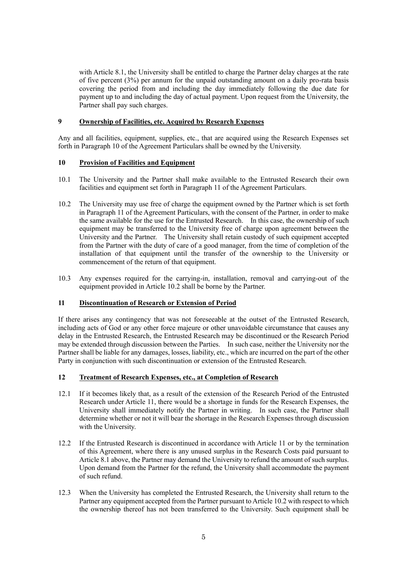with Article 8.1, the University shall be entitled to charge the Partner delay charges at the rate of five percent (3%) per annum for the unpaid outstanding amount on a daily pro-rata basis covering the period from and including the day immediately following the due date for payment up to and including the day of actual payment. Upon request from the University, the Partner shall pay such charges.

#### **9 Ownership of Facilities, etc. Acquired by Research Expenses**

Any and all facilities, equipment, supplies, etc., that are acquired using the Research Expenses set forth in Paragraph 10 of the Agreement Particulars shall be owned by the University.

#### **10 Provision of Facilities and Equipment**

- 10.1 The University and the Partner shall make available to the Entrusted Research their own facilities and equipment set forth in Paragraph 11 of the Agreement Particulars.
- 10.2 The University may use free of charge the equipment owned by the Partner which is set forth in Paragraph 11 of the Agreement Particulars, with the consent of the Partner, in order to make the same available for the use for the Entrusted Research. In this case, the ownership of such equipment may be transferred to the University free of charge upon agreement between the University and the Partner. The University shall retain custody of such equipment accepted from the Partner with the duty of care of a good manager, from the time of completion of the installation of that equipment until the transfer of the ownership to the University or commencement of the return of that equipment.
- 10.3 Any expenses required for the carrying-in, installation, removal and carrying-out of the equipment provided in Article 10.2 shall be borne by the Partner.

# **11 Discontinuation of Research or Extension of Period**

If there arises any contingency that was not foreseeable at the outset of the Entrusted Research, including acts of God or any other force majeure or other unavoidable circumstance that causes any delay in the Entrusted Research, the Entrusted Research may be discontinued or the Research Period may be extended through discussion between the Parties. In such case, neither the University nor the Partner shall be liable for any damages, losses, liability, etc., which are incurred on the part of the other Party in conjunction with such discontinuation or extension of the Entrusted Research.

#### **12 Treatment of Research Expenses, etc., at Completion of Research**

- 12.1 If it becomes likely that, as a result of the extension of the Research Period of the Entrusted Research under Article 11, there would be a shortage in funds for the Research Expenses, the University shall immediately notify the Partner in writing. In such case, the Partner shall determine whether or not it will bear the shortage in the Research Expenses through discussion with the University.
- 12.2 If the Entrusted Research is discontinued in accordance with Article 11 or by the termination of this Agreement, where there is any unused surplus in the Research Costs paid pursuant to Article 8.1 above, the Partner may demand the University to refund the amount of such surplus. Upon demand from the Partner for the refund, the University shall accommodate the payment of such refund.
- 12.3 When the University has completed the Entrusted Research, the University shall return to the Partner any equipment accepted from the Partner pursuant to Article 10.2 with respect to which the ownership thereof has not been transferred to the University. Such equipment shall be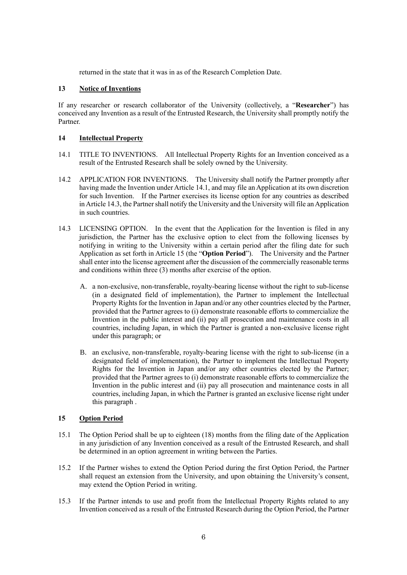returned in the state that it was in as of the Research Completion Date.

# **13 Notice of Inventions**

If any researcher or research collaborator of the University (collectively, a "**Researcher**") has conceived any Invention as a result of the Entrusted Research, the University shall promptly notify the Partner.

#### **14 Intellectual Property**

- 14.1 TITLE TO INVENTIONS. All Intellectual Property Rights for an Invention conceived as a result of the Entrusted Research shall be solely owned by the University.
- 14.2 APPLICATION FOR INVENTIONS. The University shall notify the Partner promptly after having made the Invention under Article 14.1, and may file an Application at its own discretion for such Invention. If the Partner exercises its license option for any countries as described in Article 14.3, the Partner shall notify the University and the University will file an Application in such countries.
- 14.3 LICENSING OPTION. In the event that the Application for the Invention is filed in any jurisdiction, the Partner has the exclusive option to elect from the following licenses by notifying in writing to the University within a certain period after the filing date for such Application as set forth in Article 15 (the "**Option Period**"). The University and the Partner shall enter into the license agreement after the discussion of the commercially reasonable terms and conditions within three (3) months after exercise of the option.
	- A. a non-exclusive, non-transferable, royalty-bearing license without the right to sub-license (in a designated field of implementation), the Partner to implement the Intellectual Property Rights for the Invention in Japan and/or any other countries elected by the Partner, provided that the Partner agrees to (i) demonstrate reasonable efforts to commercialize the Invention in the public interest and (ii) pay all prosecution and maintenance costs in all countries, including Japan, in which the Partner is granted a non-exclusive license right under this paragraph; or
	- B. an exclusive, non-transferable, royalty-bearing license with the right to sub-license (in a designated field of implementation), the Partner to implement the Intellectual Property Rights for the Invention in Japan and/or any other countries elected by the Partner; provided that the Partner agrees to (i) demonstrate reasonable efforts to commercialize the Invention in the public interest and (ii) pay all prosecution and maintenance costs in all countries, including Japan, in which the Partner is granted an exclusive license right under this paragraph .

#### **15 Option Period**

- 15.1 The Option Period shall be up to eighteen (18) months from the filing date of the Application in any jurisdiction of any Invention conceived as a result of the Entrusted Research, and shall be determined in an option agreement in writing between the Parties.
- 15.2 If the Partner wishes to extend the Option Period during the first Option Period, the Partner shall request an extension from the University, and upon obtaining the University's consent, may extend the Option Period in writing.
- 15.3 If the Partner intends to use and profit from the Intellectual Property Rights related to any Invention conceived as a result of the Entrusted Research during the Option Period, the Partner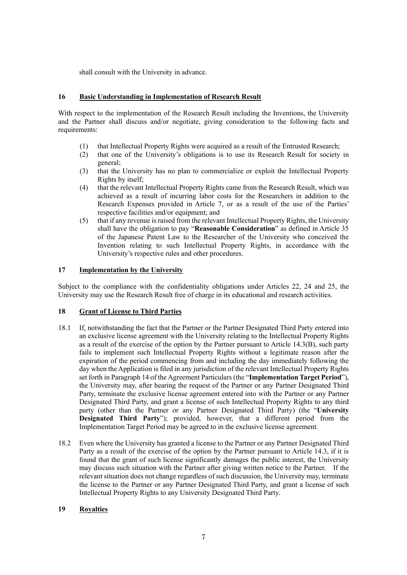shall consult with the University in advance.

### **16 Basic Understanding in Implementation of Research Result**

With respect to the implementation of the Research Result including the Inventions, the University and the Partner shall discuss and/or negotiate, giving consideration to the following facts and requirements:

- (1) that Intellectual Property Rights were acquired as a result of the Entrusted Research;
- (2) that one of the University's obligations is to use its Research Result for society in general;
- (3) that the University has no plan to commercialize or exploit the Intellectual Property Rights by itself;
- (4) that the relevant Intellectual Property Rights came from the Research Result, which was achieved as a result of incurring labor costs for the Researchers in addition to the Research Expenses provided in Article 7, or as a result of the use of the Parties' respective facilities and/or equipment; and
- (5) that if any revenue is raised from the relevant Intellectual Property Rights, the University shall have the obligation to pay "**Reasonable Consideration**" as defined in Article 35 of the Japanese Patent Law to the Researcher of the University who conceived the Invention relating to such Intellectual Property Rights, in accordance with the University's respective rules and other procedures.

#### **17 Implementation by the University**

Subject to the compliance with the confidentiality obligations under Articles 22, 24 and 25, the University may use the Research Result free of charge in its educational and research activities.

#### **18 Grant of License to Third Parties**

- 18.1 If, notwithstanding the fact that the Partner or the Partner Designated Third Party entered into an exclusive license agreement with the University relating to the Intellectual Property Rights as a result of the exercise of the option by the Partner pursuant to Article 14.3(B), such party fails to implement such Intellectual Property Rights without a legitimate reason after the expiration of the period commencing from and including the day immediately following the day when the Application is filed in any jurisdiction of the relevant Intellectual Property Rights set forth in Paragraph 14 of the Agreement Particulars (the "**Implementation Target Period**"), the University may, after hearing the request of the Partner or any Partner Designated Third Party, terminate the exclusive license agreement entered into with the Partner or any Partner Designated Third Party, and grant a license of such Intellectual Property Rights to any third party (other than the Partner or any Partner Designated Third Party) (the "**University Designated Third Party**"); provided, however, that a different period from the Implementation Target Period may be agreed to in the exclusive license agreement.
- 18.2 Even where the University has granted a license to the Partner or any Partner Designated Third Party as a result of the exercise of the option by the Partner pursuant to Article 14.3, if it is found that the grant of such license significantly damages the public interest, the University may discuss such situation with the Partner after giving written notice to the Partner. If the relevant situation does not change regardless of such discussion, the University may, terminate the license to the Partner or any Partner Designated Third Party, and grant a license of such Intellectual Property Rights to any University Designated Third Party.

#### **19 Royalties**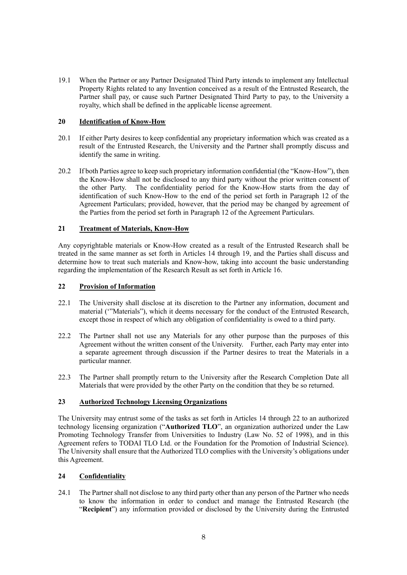19.1 When the Partner or any Partner Designated Third Party intends to implement any Intellectual Property Rights related to any Invention conceived as a result of the Entrusted Research, the Partner shall pay, or cause such Partner Designated Third Party to pay, to the University a royalty, which shall be defined in the applicable license agreement.

# **20 Identification of Know-How**

- 20.1 If either Party desires to keep confidential any proprietary information which was created as a result of the Entrusted Research, the University and the Partner shall promptly discuss and identify the same in writing.
- 20.2 If both Parties agree to keep such proprietary information confidential (the "Know-How"), then the Know-How shall not be disclosed to any third party without the prior written consent of the other Party. The confidentiality period for the Know-How starts from the day of The confidentiality period for the Know-How starts from the day of identification of such Know-How to the end of the period set forth in Paragraph 12 of the Agreement Particulars; provided, however, that the period may be changed by agreement of the Parties from the period set forth in Paragraph 12 of the Agreement Particulars.

#### **21 Treatment of Materials, Know-How**

Any copyrightable materials or Know-How created as a result of the Entrusted Research shall be treated in the same manner as set forth in Articles 14 through 19, and the Parties shall discuss and determine how to treat such materials and Know-how, taking into account the basic understanding regarding the implementation of the Research Result as set forth in Article 16.

#### **22 Provision of Information**

- 22.1 The University shall disclose at its discretion to the Partner any information, document and material ('"Materials"), which it deems necessary for the conduct of the Entrusted Research, except those in respect of which any obligation of confidentiality is owed to a third party.
- 22.2 The Partner shall not use any Materials for any other purpose than the purposes of this Agreement without the written consent of the University. Further, each Party may enter into a separate agreement through discussion if the Partner desires to treat the Materials in a particular manner.
- 22.3 The Partner shall promptly return to the University after the Research Completion Date all Materials that were provided by the other Party on the condition that they be so returned.

#### **23 Authorized Technology Licensing Organizations**

The University may entrust some of the tasks as set forth in Articles 14 through 22 to an authorized technology licensing organization ("**Authorized TLO**", an organization authorized under the Law Promoting Technology Transfer from Universities to Industry (Law No. 52 of 1998), and in this Agreement refers to TODAI TLO Ltd. or the Foundation for the Promotion of Industrial Science). The University shall ensure that the Authorized TLO complies with the University's obligations under this Agreement.

#### **24 Confidentiality**

24.1 The Partner shall not disclose to any third party other than any person of the Partner who needs to know the information in order to conduct and manage the Entrusted Research (the "**Recipient**") any information provided or disclosed by the University during the Entrusted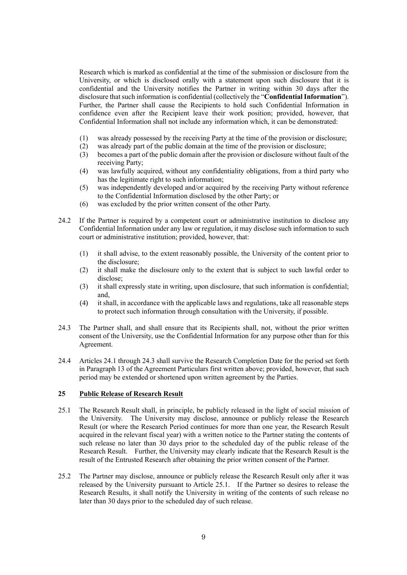Research which is marked as confidential at the time of the submission or disclosure from the University, or which is disclosed orally with a statement upon such disclosure that it is confidential and the University notifies the Partner in writing within 30 days after the disclosure that such information is confidential (collectively the "**Confidential Information**"). Further, the Partner shall cause the Recipients to hold such Confidential Information in confidence even after the Recipient leave their work position; provided, however, that Confidential Information shall not include any information which, it can be demonstrated:

- (1) was already possessed by the receiving Party at the time of the provision or disclosure;
- (2) was already part of the public domain at the time of the provision or disclosure;
- (3) becomes a part of the public domain after the provision or disclosure without fault of the receiving Party;
- (4) was lawfully acquired, without any confidentiality obligations, from a third party who has the legitimate right to such information;
- (5) was independently developed and/or acquired by the receiving Party without reference to the Confidential Information disclosed by the other Party; or
- (6) was excluded by the prior written consent of the other Party.
- 24.2 If the Partner is required by a competent court or administrative institution to disclose any Confidential Information under any law or regulation, it may disclose such information to such court or administrative institution; provided, however, that:
	- (1) it shall advise, to the extent reasonably possible, the University of the content prior to the disclosure;
	- (2) it shall make the disclosure only to the extent that is subject to such lawful order to disclose;
	- (3) it shall expressly state in writing, upon disclosure, that such information is confidential; and,
	- (4) it shall, in accordance with the applicable laws and regulations, take all reasonable steps to protect such information through consultation with the University, if possible.
- 24.3 The Partner shall, and shall ensure that its Recipients shall, not, without the prior written consent of the University, use the Confidential Information for any purpose other than for this Agreement.
- 24.4 Articles 24.1 through 24.3 shall survive the Research Completion Date for the period set forth in Paragraph 13 of the Agreement Particulars first written above; provided, however, that such period may be extended or shortened upon written agreement by the Parties.

# **25 Public Release of Research Result**

- 25.1 The Research Result shall, in principle, be publicly released in the light of social mission of the University. The University may disclose, announce or publicly release the Research Result (or where the Research Period continues for more than one year, the Research Result acquired in the relevant fiscal year) with a written notice to the Partner stating the contents of such release no later than 30 days prior to the scheduled day of the public release of the Research Result. Further, the University may clearly indicate that the Research Result is the result of the Entrusted Research after obtaining the prior written consent of the Partner.
- 25.2 The Partner may disclose, announce or publicly release the Research Result only after it was released by the University pursuant to Article 25.1. If the Partner so desires to release the Research Results, it shall notify the University in writing of the contents of such release no later than 30 days prior to the scheduled day of such release.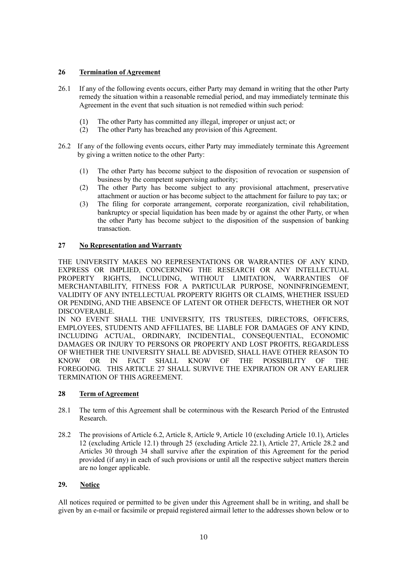# **26 Termination of Agreement**

- 26.1 If any of the following events occurs, either Party may demand in writing that the other Party remedy the situation within a reasonable remedial period, and may immediately terminate this Agreement in the event that such situation is not remedied within such period:
	- (1) The other Party has committed any illegal, improper or unjust act; or
	- (2) The other Party has breached any provision of this Agreement.
- 26.2 If any of the following events occurs, either Party may immediately terminate this Agreement by giving a written notice to the other Party:
	- (1) The other Party has become subject to the disposition of revocation or suspension of business by the competent supervising authority;
	- (2) The other Party has become subject to any provisional attachment, preservative attachment or auction or has become subject to the attachment for failure to pay tax; or
	- (3) The filing for corporate arrangement, corporate reorganization, civil rehabilitation, bankruptcy or special liquidation has been made by or against the other Party, or when the other Party has become subject to the disposition of the suspension of banking transaction.

# **27 No Representation and Warranty**

THE UNIVERSITY MAKES NO REPRESENTATIONS OR WARRANTIES OF ANY KIND, EXPRESS OR IMPLIED, CONCERNING THE RESEARCH OR ANY INTELLECTUAL PROPERTY RIGHTS, INCLUDING, WITHOUT LIMITATION, WARRANTIES OF MERCHANTABILITY, FITNESS FOR A PARTICULAR PURPOSE, NONINFRINGEMENT, VALIDITY OF ANY INTELLECTUAL PROPERTY RIGHTS OR CLAIMS, WHETHER ISSUED OR PENDING, AND THE ABSENCE OF LATENT OR OTHER DEFECTS, WHETHER OR NOT DISCOVERABLE.

IN NO EVENT SHALL THE UNIVERSITY, ITS TRUSTEES, DIRECTORS, OFFICERS, EMPLOYEES, STUDENTS AND AFFILIATES, BE LIABLE FOR DAMAGES OF ANY KIND, INCLUDING ACTUAL, ORDINARY, INCIDENTIAL, CONSEQUENTIAL, ECONOMIC DAMAGES OR INJURY TO PERSONS OR PROPERTY AND LOST PROFITS, REGARDLESS OF WHETHER THE UNIVERSITY SHALL BE ADVISED, SHALL HAVE OTHER REASON TO KNOW OR IN FACT SHALL KNOW OF THE POSSIBILITY OF THE FOREGOING. THIS ARTICLE 27 SHALL SURVIVE THE EXPIRATION OR ANY EARLIER TERMINATION OF THIS AGREEMENT.

# **28 Term of Agreement**

- 28.1 The term of this Agreement shall be coterminous with the Research Period of the Entrusted Research.
- 28.2 The provisions of Article 6.2, Article 8, Article 9, Article 10 (excluding Article 10.1), Articles 12 (excluding Article 12.1) through 25 (excluding Article 22.1), Article 27, Article 28.2 and Articles 30 through 34 shall survive after the expiration of this Agreement for the period provided (if any) in each of such provisions or until all the respective subject matters therein are no longer applicable.

# **29. Notice**

All notices required or permitted to be given under this Agreement shall be in writing, and shall be given by an e-mail or facsimile or prepaid registered airmail letter to the addresses shown below or to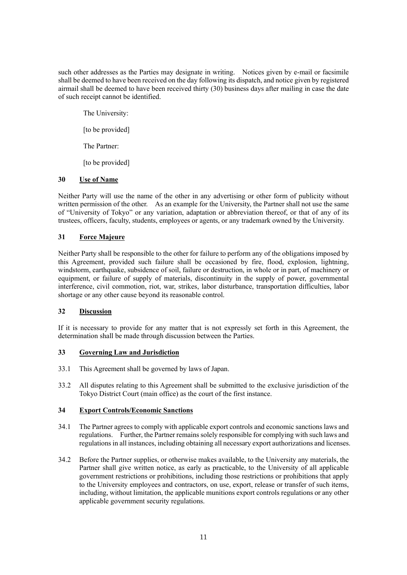such other addresses as the Parties may designate in writing. Notices given by e-mail or facsimile shall be deemed to have been received on the day following its dispatch, and notice given by registered airmail shall be deemed to have been received thirty (30) business days after mailing in case the date of such receipt cannot be identified.

The University:

[to be provided]

The Partner:

[to be provided]

# **30 Use of Name**

Neither Party will use the name of the other in any advertising or other form of publicity without written permission of the other. As an example for the University, the Partner shall not use the same of "University of Tokyo" or any variation, adaptation or abbreviation thereof, or that of any of its trustees, officers, faculty, students, employees or agents, or any trademark owned by the University.

# **31 Force Majeure**

Neither Party shall be responsible to the other for failure to perform any of the obligations imposed by this Agreement, provided such failure shall be occasioned by fire, flood, explosion, lightning, windstorm, earthquake, subsidence of soil, failure or destruction, in whole or in part, of machinery or equipment, or failure of supply of materials, discontinuity in the supply of power, governmental interference, civil commotion, riot, war, strikes, labor disturbance, transportation difficulties, labor shortage or any other cause beyond its reasonable control.

# **32 Discussion**

If it is necessary to provide for any matter that is not expressly set forth in this Agreement, the determination shall be made through discussion between the Parties.

# **33 Governing Law and Jurisdiction**

- 33.1 This Agreement shall be governed by laws of Japan.
- 33.2 All disputes relating to this Agreement shall be submitted to the exclusive jurisdiction of the Tokyo District Court (main office) as the court of the first instance.

# **34 Export Controls/Economic Sanctions**

- 34.1 The Partner agrees to comply with applicable export controls and economic sanctions laws and regulations. Further, the Partner remains solely responsible for complying with such laws and regulations in all instances, including obtaining all necessary export authorizations and licenses.
- 34.2 Before the Partner supplies, or otherwise makes available, to the University any materials, the Partner shall give written notice, as early as practicable, to the University of all applicable government restrictions or prohibitions, including those restrictions or prohibitions that apply to the University employees and contractors, on use, export, release or transfer of such items, including, without limitation, the applicable munitions export controls regulations or any other applicable government security regulations.